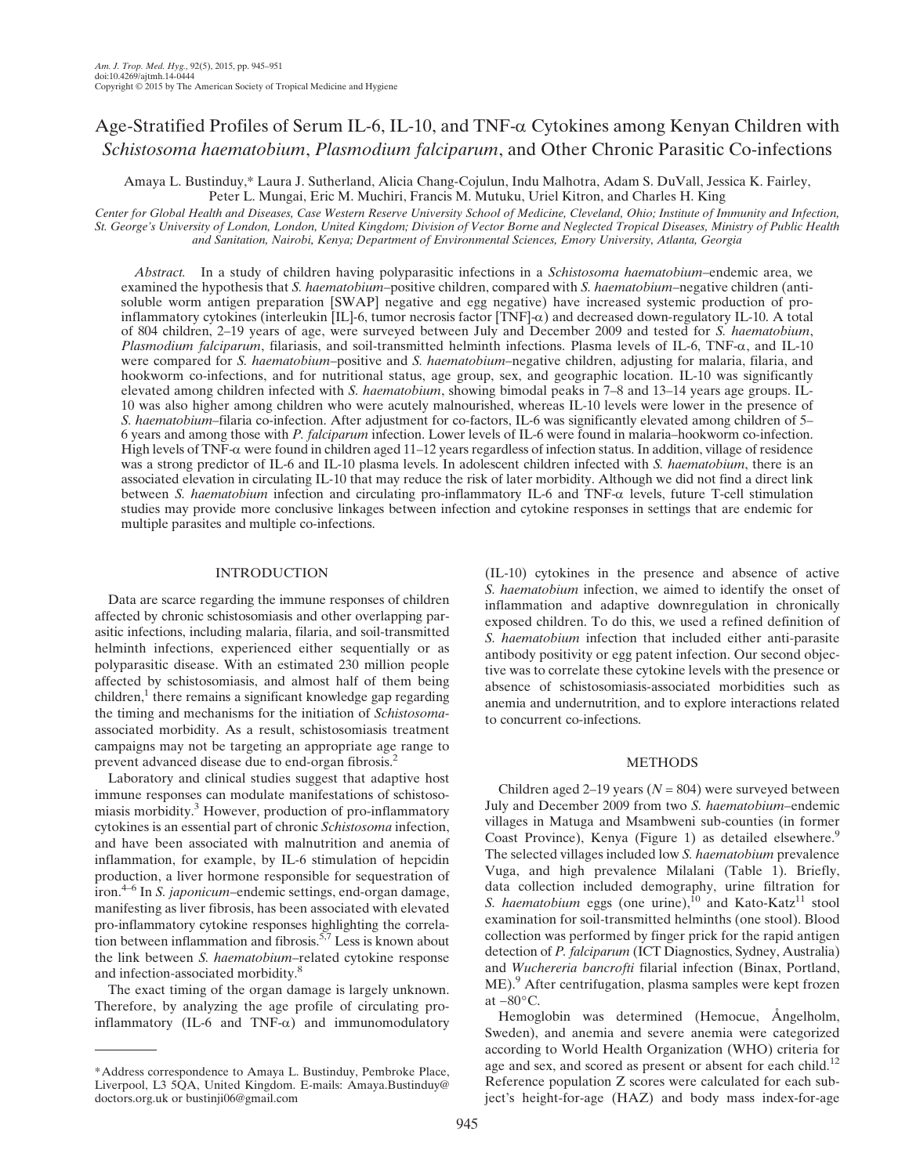# Age-Stratified Profiles of Serum IL-6, IL-10, and TNF- $\alpha$  Cytokines among Kenyan Children with Schistosoma haematobium, Plasmodium falciparum, and Other Chronic Parasitic Co-infections

Amaya L. Bustinduy,\* Laura J. Sutherland, Alicia Chang-Cojulun, Indu Malhotra, Adam S. DuVall, Jessica K. Fairley, Peter L. Mungai, Eric M. Muchiri, Francis M. Mutuku, Uriel Kitron, and Charles H. King

Center for Global Health and Diseases, Case Western Reserve University School of Medicine, Cleveland, Ohio; Institute of Immunity and Infection, St. George's University of London, London, United Kingdom; Division of Vector Borne and Neglected Tropical Diseases, Ministry of Public Health and Sanitation, Nairobi, Kenya; Department of Environmental Sciences, Emory University, Atlanta, Georgia

Abstract. In a study of children having polyparasitic infections in a Schistosoma haematobium–endemic area, we examined the hypothesis that S. haematobium–positive children, compared with S. haematobium–negative children (antisoluble worm antigen preparation [SWAP] negative and egg negative) have increased systemic production of proinflammatory cytokines (interleukin  $\overline{[IL]}$ -6, tumor necrosis factor  $\overline{[TNF]}$ - $\alpha$ ) and decreased down-regulatory IL-10. A total of 804 children, 2–19 years of age, were surveyed between July and December 2009 and tested for S. haematobium, Plasmodium falciparum, filariasis, and soil-transmitted helminth infections. Plasma levels of IL-6, TNF- $\alpha$ , and IL-10 were compared for S. haematobium–positive and S. haematobium–negative children, adjusting for malaria, filaria, and hookworm co-infections, and for nutritional status, age group, sex, and geographic location. IL-10 was significantly elevated among children infected with S. haematobium, showing bimodal peaks in 7–8 and 13–14 years age groups. IL-10 was also higher among children who were acutely malnourished, whereas IL-10 levels were lower in the presence of S. haematobium–filaria co-infection. After adjustment for co-factors, IL-6 was significantly elevated among children of 5– 6 years and among those with P. falciparum infection. Lower levels of IL-6 were found in malaria–hookworm co-infection. High levels of TNF- $\alpha$  were found in children aged 11–12 years regardless of infection status. In addition, village of residence was a strong predictor of IL-6 and IL-10 plasma levels. In adolescent children infected with S. haematobium, there is an associated elevation in circulating IL-10 that may reduce the risk of later morbidity. Although we did not find a direct link between S. haematobium infection and circulating pro-inflammatory IL-6 and TNF- $\alpha$  levels, future T-cell stimulation studies may provide more conclusive linkages between infection and cytokine responses in settings that are endemic for multiple parasites and multiple co-infections.

# INTRODUCTION

Data are scarce regarding the immune responses of children affected by chronic schistosomiasis and other overlapping parasitic infections, including malaria, filaria, and soil-transmitted helminth infections, experienced either sequentially or as polyparasitic disease. With an estimated 230 million people affected by schistosomiasis, and almost half of them being  $children<sup>1</sup>$ , there remains a significant knowledge gap regarding the timing and mechanisms for the initiation of Schistosomaassociated morbidity. As a result, schistosomiasis treatment campaigns may not be targeting an appropriate age range to prevent advanced disease due to end-organ fibrosis.<sup>2</sup>

Laboratory and clinical studies suggest that adaptive host immune responses can modulate manifestations of schistosomiasis morbidity.<sup>3</sup> However, production of pro-inflammatory cytokines is an essential part of chronic Schistosoma infection, and have been associated with malnutrition and anemia of inflammation, for example, by IL-6 stimulation of hepcidin production, a liver hormone responsible for sequestration of iron.4–<sup>6</sup> In S. japonicum–endemic settings, end-organ damage, manifesting as liver fibrosis, has been associated with elevated pro-inflammatory cytokine responses highlighting the correlation between inflammation and fibrosis.<sup>5,7</sup> Less is known about the link between S. haematobium–related cytokine response and infection-associated morbidity.<sup>8</sup>

The exact timing of the organ damage is largely unknown. Therefore, by analyzing the age profile of circulating proinflammatory (IL-6 and TNF- $\alpha$ ) and immunomodulatory (IL-10) cytokines in the presence and absence of active S. haematobium infection, we aimed to identify the onset of inflammation and adaptive downregulation in chronically exposed children. To do this, we used a refined definition of S. haematobium infection that included either anti-parasite antibody positivity or egg patent infection. Our second objective was to correlate these cytokine levels with the presence or absence of schistosomiasis-associated morbidities such as anemia and undernutrition, and to explore interactions related to concurrent co-infections.

# **METHODS**

Children aged 2–19 years ( $N = 804$ ) were surveyed between July and December 2009 from two S. haematobium–endemic villages in Matuga and Msambweni sub-counties (in former Coast Province), Kenya (Figure 1) as detailed elsewhere.<sup>9</sup> The selected villages included low S. haematobium prevalence Vuga, and high prevalence Milalani (Table 1). Briefly, data collection included demography, urine filtration for S. haematobium eggs (one urine), $^{10}$  and Kato-Katz<sup>11</sup> stool examination for soil-transmitted helminths (one stool). Blood collection was performed by finger prick for the rapid antigen detection of P. falciparum (ICT Diagnostics, Sydney, Australia) and Wuchereria bancrofti filarial infection (Binax, Portland, ME).<sup>9</sup> After centrifugation, plasma samples were kept frozen at  $-80^{\circ}$ C.

Hemoglobin was determined (Hemocue, Angelholm, Sweden), and anemia and severe anemia were categorized according to World Health Organization (WHO) criteria for age and sex, and scored as present or absent for each child.<sup>12</sup> Reference population Z scores were calculated for each subject's height-for-age (HAZ) and body mass index-for-age

<sup>\*</sup>Address correspondence to Amaya L. Bustinduy, Pembroke Place, Liverpool, L3 5QA, United Kingdom. E-mails: Amaya.Bustinduy@ doctors.org.uk or bustinji06@gmail.com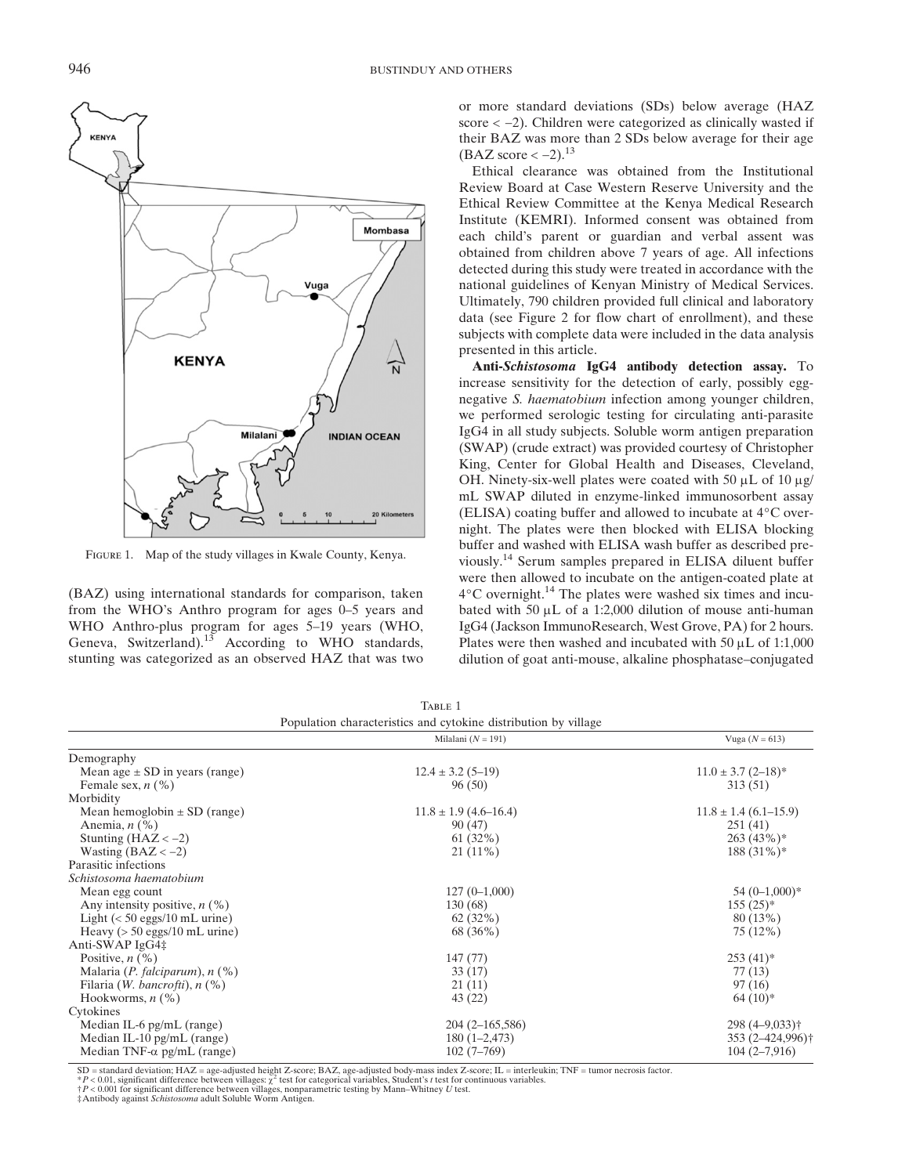

FIGURE 1. Map of the study villages in Kwale County, Kenya.

(BAZ) using international standards for comparison, taken from the WHO's Anthro program for ages 0–5 years and WHO Anthro-plus program for ages 5–19 years (WHO, Geneva, Switzerland).<sup>13</sup> According to WHO standards, stunting was categorized as an observed HAZ that was two or more standard deviations (SDs) below average (HAZ score < <sup>−</sup>2). Children were categorized as clinically wasted if their BAZ was more than 2 SDs below average for their age  $(BAZ \text{ score} < -2).$ <sup>13</sup>

Ethical clearance was obtained from the Institutional Review Board at Case Western Reserve University and the Ethical Review Committee at the Kenya Medical Research Institute (KEMRI). Informed consent was obtained from each child's parent or guardian and verbal assent was obtained from children above 7 years of age. All infections detected during this study were treated in accordance with the national guidelines of Kenyan Ministry of Medical Services. Ultimately, 790 children provided full clinical and laboratory data (see Figure 2 for flow chart of enrollment), and these subjects with complete data were included in the data analysis presented in this article.

Anti-Schistosoma IgG4 antibody detection assay. To increase sensitivity for the detection of early, possibly eggnegative S. haematobium infection among younger children, we performed serologic testing for circulating anti-parasite IgG4 in all study subjects. Soluble worm antigen preparation (SWAP) (crude extract) was provided courtesy of Christopher King, Center for Global Health and Diseases, Cleveland, OH. Ninety-six-well plates were coated with 50  $\mu$ L of 10  $\mu$ g/ mL SWAP diluted in enzyme-linked immunosorbent assay (ELISA) coating buffer and allowed to incubate at 4°C overnight. The plates were then blocked with ELISA blocking buffer and washed with ELISA wash buffer as described previously.14 Serum samples prepared in ELISA diluent buffer were then allowed to incubate on the antigen-coated plate at  $4^{\circ}$ C overnight.<sup>14</sup> The plates were washed six times and incubated with 50  $\mu$ L of a 1:2,000 dilution of mouse anti-human IgG4 (Jackson ImmunoResearch, West Grove, PA) for 2 hours. Plates were then washed and incubated with  $50 \mu L$  of 1:1,000 dilution of goat anti-mouse, alkaline phosphatase–conjugated

|                                                 | Milalani ( $N = 191$ )    | Vuga $(N = 613)$              |
|-------------------------------------------------|---------------------------|-------------------------------|
| Demography                                      |                           |                               |
| Mean age $\pm$ SD in years (range)              | $12.4 \pm 3.2$ (5-19)     | $11.0 \pm 3.7$ (2-18)*        |
| Female sex, $n$ (%)                             | 96 (50)                   | 313 (51)                      |
| Morbidity                                       |                           |                               |
| Mean hemoglobin $\pm$ SD (range)                | $11.8 \pm 1.9$ (4.6–16.4) | $11.8 \pm 1.4$ (6.1–15.9)     |
| Anemia, $n$ (%)                                 | 90 (47)                   | 251(41)                       |
| Stunting $(HAZ < -2)$                           | $61(32\%)$                | 263(43%)                      |
| Wasting $(BAZ < -2)$                            | $21(11\%)$                | $188(31\%)*$                  |
| Parasitic infections                            |                           |                               |
| Schistosoma haematobium                         |                           |                               |
| Mean egg count                                  | $127(0-1,000)$            | $54(0-1,000)*$                |
| Any intensity positive, $n$ (%)                 | 130(68)                   | $155(25)^*$                   |
| Light $(< 50$ eggs/10 mL urine)                 | 62(32%)                   | 80 (13%)                      |
| Heavy $(> 50 \text{ eggs}/10 \text{ mL urine})$ | 68 (36%)                  | 75 (12%)                      |
| Anti-SWAP IgG4‡                                 |                           |                               |
| Positive, $n$ (%)                               | 147(77)                   | $253(41)$ *                   |
| Malaria (P. falciparum), $n$ (%)                | 33(17)                    | 77(13)                        |
| Filaria ( <i>W. bancrofti</i> ), $n$ (%)        | 21(11)                    | 97(16)                        |
| Hookworms, $n$ $(\%)$                           | 43 (22)                   | $64(10)*$                     |
| Cytokines                                       |                           |                               |
| Median IL-6 $pg/mL$ (range)                     | $204(2 - 165, 586)$       | $298(4 - 9,033)$ <sup>+</sup> |
| Median IL-10 $pg/mL$ (range)                    | $180(1-2,473)$            | 353 (2-424,996)†              |
| Median TNF- $\alpha$ pg/mL (range)              | $102(7-769)$              | $104(2-7,916)$                |

TABLE 1

‡Antibody against Schistosoma adult Soluble Worm Antigen.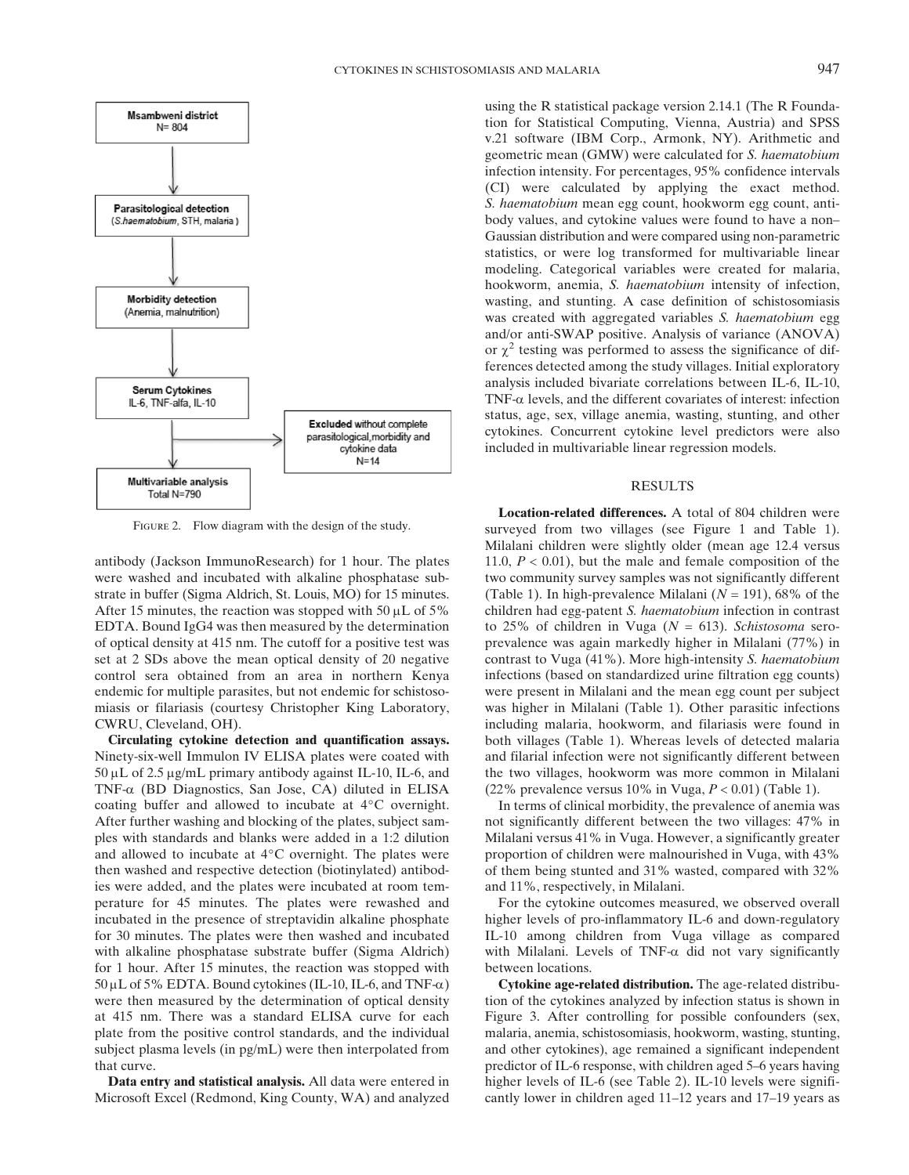

FIGURE 2. Flow diagram with the design of the study.

antibody (Jackson ImmunoResearch) for 1 hour. The plates were washed and incubated with alkaline phosphatase substrate in buffer (Sigma Aldrich, St. Louis, MO) for 15 minutes. After 15 minutes, the reaction was stopped with 50  $\mu$ L of 5% EDTA. Bound IgG4 was then measured by the determination of optical density at 415 nm. The cutoff for a positive test was set at 2 SDs above the mean optical density of 20 negative control sera obtained from an area in northern Kenya endemic for multiple parasites, but not endemic for schistosomiasis or filariasis (courtesy Christopher King Laboratory, CWRU, Cleveland, OH).

Circulating cytokine detection and quantification assays. Ninety-six-well Immulon IV ELISA plates were coated with  $50 \mu L$  of 2.5  $\mu$ g/mL primary antibody against IL-10, IL-6, and TNF-a (BD Diagnostics, San Jose, CA) diluted in ELISA coating buffer and allowed to incubate at 4°C overnight. After further washing and blocking of the plates, subject samples with standards and blanks were added in a 1:2 dilution and allowed to incubate at 4°C overnight. The plates were then washed and respective detection (biotinylated) antibodies were added, and the plates were incubated at room temperature for 45 minutes. The plates were rewashed and incubated in the presence of streptavidin alkaline phosphate for 30 minutes. The plates were then washed and incubated with alkaline phosphatase substrate buffer (Sigma Aldrich) for 1 hour. After 15 minutes, the reaction was stopped with  $50 \mu$ L of 5% EDTA. Bound cytokines (IL-10, IL-6, and TNF- $\alpha$ ) were then measured by the determination of optical density at 415 nm. There was a standard ELISA curve for each plate from the positive control standards, and the individual subject plasma levels (in pg/mL) were then interpolated from that curve.

Data entry and statistical analysis. All data were entered in Microsoft Excel (Redmond, King County, WA) and analyzed using the R statistical package version 2.14.1 (The R Foundation for Statistical Computing, Vienna, Austria) and SPSS v.21 software (IBM Corp., Armonk, NY). Arithmetic and geometric mean (GMW) were calculated for S. haematobium infection intensity. For percentages, 95% confidence intervals (CI) were calculated by applying the exact method. S. haematobium mean egg count, hookworm egg count, antibody values, and cytokine values were found to have a non– Gaussian distribution and were compared using non-parametric statistics, or were log transformed for multivariable linear modeling. Categorical variables were created for malaria, hookworm, anemia, S. haematobium intensity of infection, wasting, and stunting. A case definition of schistosomiasis was created with aggregated variables S. haematobium egg and/or anti-SWAP positive. Analysis of variance (ANOVA) or  $\chi^2$  testing was performed to assess the significance of differences detected among the study villages. Initial exploratory analysis included bivariate correlations between IL-6, IL-10,  $TNF-\alpha$  levels, and the different covariates of interest: infection status, age, sex, village anemia, wasting, stunting, and other cytokines. Concurrent cytokine level predictors were also included in multivariable linear regression models.

### RESULTS

Location-related differences. A total of 804 children were surveyed from two villages (see Figure 1 and Table 1). Milalani children were slightly older (mean age 12.4 versus 11.0,  $P < 0.01$ ), but the male and female composition of the two community survey samples was not significantly different (Table 1). In high-prevalence Milalani ( $N = 191$ ), 68% of the children had egg-patent S. haematobium infection in contrast to 25% of children in Vuga ( $N = 613$ ). Schistosoma seroprevalence was again markedly higher in Milalani (77%) in contrast to Vuga (41%). More high-intensity S. haematobium infections (based on standardized urine filtration egg counts) were present in Milalani and the mean egg count per subject was higher in Milalani (Table 1). Other parasitic infections including malaria, hookworm, and filariasis were found in both villages (Table 1). Whereas levels of detected malaria and filarial infection were not significantly different between the two villages, hookworm was more common in Milalani (22% prevalence versus  $10\%$  in Vuga,  $P < 0.01$ ) (Table 1).

In terms of clinical morbidity, the prevalence of anemia was not significantly different between the two villages: 47% in Milalani versus 41% in Vuga. However, a significantly greater proportion of children were malnourished in Vuga, with 43% of them being stunted and 31% wasted, compared with 32% and 11%, respectively, in Milalani.

For the cytokine outcomes measured, we observed overall higher levels of pro-inflammatory IL-6 and down-regulatory IL-10 among children from Vuga village as compared with Milalani. Levels of TNF- $\alpha$  did not vary significantly between locations.

Cytokine age-related distribution. The age-related distribution of the cytokines analyzed by infection status is shown in Figure 3. After controlling for possible confounders (sex, malaria, anemia, schistosomiasis, hookworm, wasting, stunting, and other cytokines), age remained a significant independent predictor of IL-6 response, with children aged 5–6 years having higher levels of IL-6 (see Table 2). IL-10 levels were significantly lower in children aged 11–12 years and 17–19 years as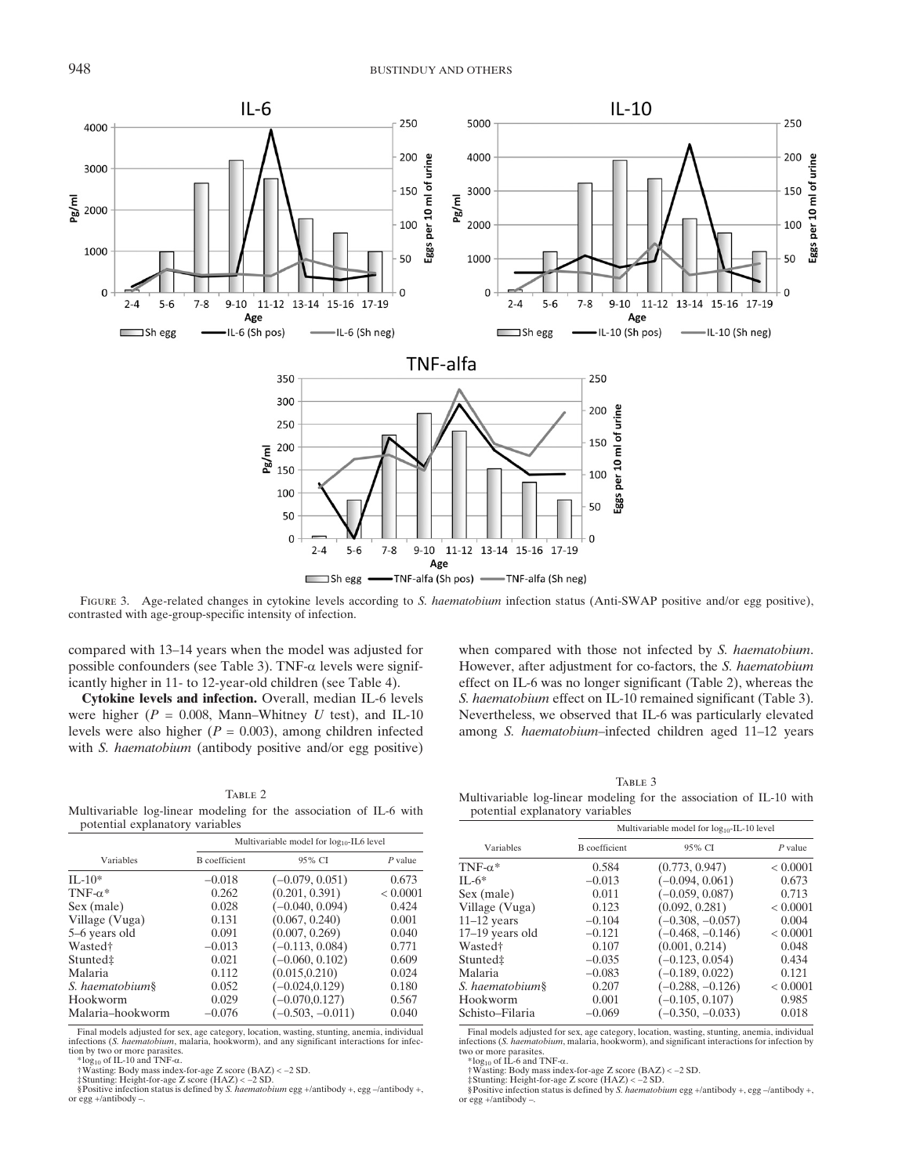

FIGURE 3. Age-related changes in cytokine levels according to S. haematobium infection status (Anti-SWAP positive and/or egg positive), contrasted with age-group-specific intensity of infection.

compared with 13–14 years when the model was adjusted for possible confounders (see Table 3). TNF- $\alpha$  levels were significantly higher in 11- to 12-year-old children (see Table 4).

Cytokine levels and infection. Overall, median IL-6 levels were higher ( $P = 0.008$ , Mann–Whitney U test), and IL-10 levels were also higher ( $P = 0.003$ ), among children infected with *S. haematobium* (antibody positive and/or egg positive)

when compared with those not infected by S. haematobium. However, after adjustment for co-factors, the S. haematobium effect on IL-6 was no longer significant (Table 2), whereas the S. haematobium effect on IL-10 remained significant (Table 3). Nevertheless, we observed that IL-6 was particularly elevated among S. haematobium–infected children aged 11–12 years

TABLE 2 Multivariable log-linear modeling for the association of IL-6 with potential explanatory variables

|                      | Multivariable model for $log_{10}$ -IL6 level |                    |           |
|----------------------|-----------------------------------------------|--------------------|-----------|
| Variables            | <b>B</b> coefficient                          | 95% CI             | $P$ value |
| $II - 10*$           | $-0.018$                                      | $(-0.079, 0.051)$  | 0.673     |
| TNF- $\alpha^*$      | 0.262                                         | (0.201, 0.391)     | < 0.0001  |
| Sex (male)           | 0.028                                         | $(-0.040, 0.094)$  | 0.424     |
| Village (Vuga)       | 0.131                                         | (0.067, 0.240)     | 0.001     |
| 5–6 years old        | 0.091                                         | (0.007, 0.269)     | 0.040     |
| Wasted <sup>†</sup>  | $-0.013$                                      | $(-0.113, 0.084)$  | 0.771     |
| Stunted <sup>‡</sup> | 0.021                                         | $(-0.060, 0.102)$  | 0.609     |
| Malaria              | 0.112                                         | (0.015, 0.210)     | 0.024     |
| S. haematobium§      | 0.052                                         | $(-0.024, 0.129)$  | 0.180     |
| Hookworm             | 0.029                                         | $(-0.070, 0.127)$  | 0.567     |
| Malaria-hookworm     | $-0.076$                                      | $(-0.503, -0.011)$ | 0.040     |

Final models adjusted for sex, age category, location, wasting, stunting, anemia, individual infections (S. haematobium, malaria, hookworm), and any significant interactions for infection by two or more parasites.

\*log<sub>10</sub> of IL-10 and TNF- $\alpha$ .

†Wasting: Body mass index-for-age Z score (BAZ) < −2 SD.<br>‡Stunting: Height-for-age Z score (HAZ) < −2 SD.<br>§Positive infection status is defined by *S. haematobium* egg +/antibody +, egg –/antibody +,

or egg +/antibody –.

TABLE 3

Multivariable log-linear modeling for the association of IL-10 with potential explanatory variables

| Variables           | Multivariable model for $log_{10}$ -IL-10 level |                    |           |  |
|---------------------|-------------------------------------------------|--------------------|-----------|--|
|                     | <b>B</b> coefficient                            | 95% CI             | $P$ value |  |
| TNF- $\alpha^*$     | 0.584                                           | (0.773, 0.947)     | < 0.0001  |  |
| $IL-6*$             | $-0.013$                                        | $(-0.094, 0.061)$  | 0.673     |  |
| Sex (male)          | 0.011                                           | $(-0.059, 0.087)$  | 0.713     |  |
| Village (Vuga)      | 0.123                                           | (0.092, 0.281)     | < 0.0001  |  |
| $11-12$ years       | $-0.104$                                        | $(-0.308, -0.057)$ | 0.004     |  |
| $17-19$ years old   | $-0.121$                                        | $(-0.468, -0.146)$ | < 0.0001  |  |
| Wasted <sup>†</sup> | 0.107                                           | (0.001, 0.214)     | 0.048     |  |
| Stunted#            | $-0.035$                                        | $(-0.123, 0.054)$  | 0.434     |  |
| Malaria             | $-0.083$                                        | $(-0.189, 0.022)$  | 0.121     |  |
| S. haematobium§     | 0.207                                           | $(-0.288, -0.126)$ | < 0.0001  |  |
| Hookworm            | 0.001                                           | $(-0.105, 0.107)$  | 0.985     |  |
| Schisto-Filaria     | $-0.069$                                        | $(-0.350, -0.033)$ | 0.018     |  |

Final models adjusted for sex, age category, location, wasting, stunting, anemia, individual infections (S. haematobium, malaria, hookworm), and significant interactions for infection by

two or more parasites.<br>\*log<sub>10</sub> of IL-6 and TNF- $\alpha$ .<br>\*Wasting: Body mass inde

†Wasting: Body mass index-for-age Z score (BAZ) < <sup>−</sup>2 SD.

‡Stunting: Height-for-age Z score (HAZ) < −2 SD.<br>§Positive infection status is defined by *S. haematobium* egg +/antibody +, egg –/antibody +, or egg +/antibody -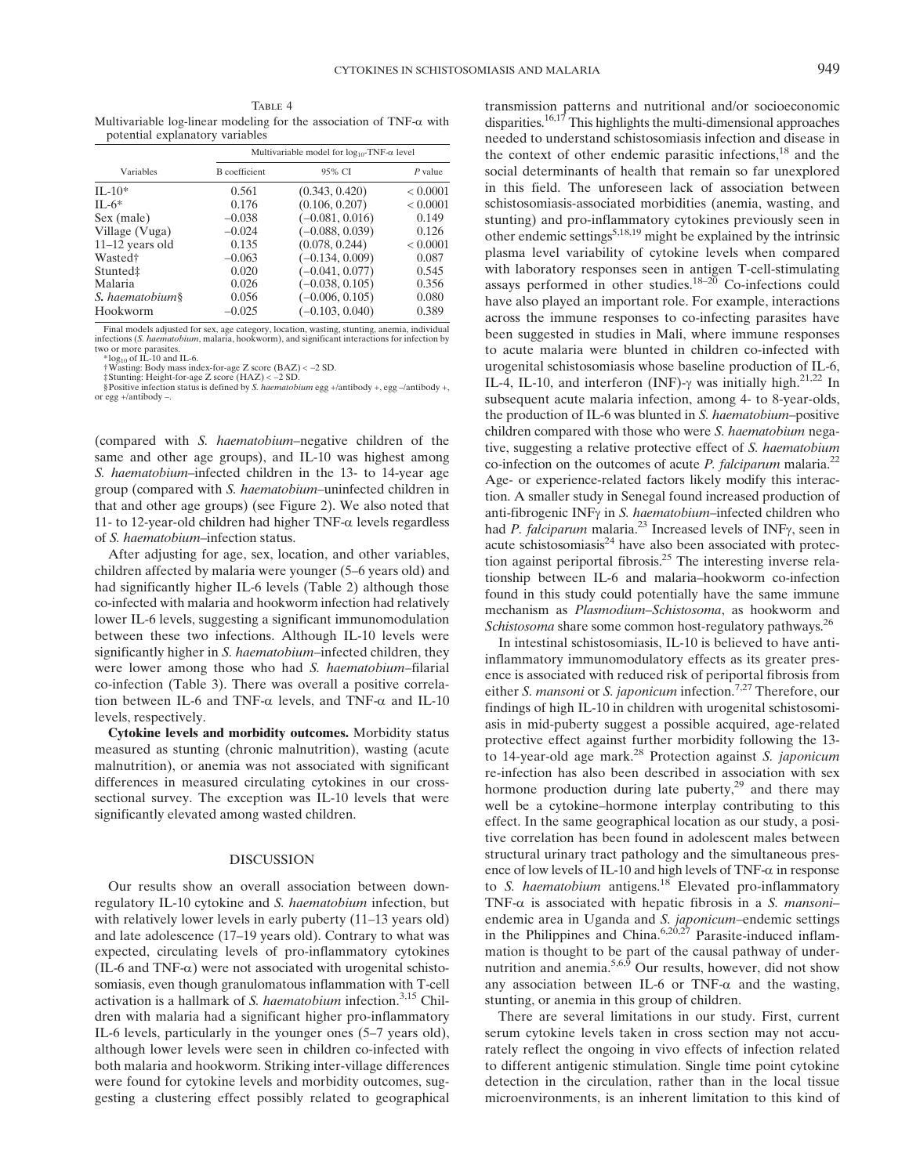TABLE 4 Multivariable log-linear modeling for the association of  $TNF-\alpha$  with potential explanatory variables

| Variables            | Multivariable model for $log_{10}$ -TNF- $\alpha$ level |                   |           |  |
|----------------------|---------------------------------------------------------|-------------------|-----------|--|
|                      | <b>B</b> coefficient                                    | 95% CI            | $P$ value |  |
| $II - 10*$           | 0.561                                                   | (0.343, 0.420)    | < 0.0001  |  |
| $IL-6*$              | 0.176                                                   | (0.106, 0.207)    | < 0.0001  |  |
| Sex (male)           | $-0.038$                                                | $(-0.081, 0.016)$ | 0.149     |  |
| Village (Vuga)       | $-0.024$                                                | $(-0.088, 0.039)$ | 0.126     |  |
| $11-12$ years old    | 0.135                                                   | (0.078, 0.244)    | < 0.0001  |  |
| Wasted <sup>†</sup>  | $-0.063$                                                | $(-0.134, 0.009)$ | 0.087     |  |
| Stunted <sup>‡</sup> | 0.020                                                   | $(-0.041, 0.077)$ | 0.545     |  |
| Malaria              | 0.026                                                   | $(-0.038, 0.105)$ | 0.356     |  |
| S. haematobium§      | 0.056                                                   | $(-0.006, 0.105)$ | 0.080     |  |
| Hookworm             | $-0.025$                                                | $(-0.103, 0.040)$ | 0.389     |  |

Final models adjusted for sex, age category, location, wasting, stunting, anemia, individual infections (*S. haematobium*, malaria, hookworm), and significant interactions for infection by<br>two or more parasites.<br>\*log<sub>10</sub> of IL-10 and IL-6.

†Wasting: Body mass index-for-age Z score (BAZ) < <sup>−</sup>2 SD.

‡Stunting: Height-for-age Z score (HAZ) < <sup>−</sup>2 SD. §Positive infection status is defined by S. haematobium egg +/antibody +, egg –/antibody +, or egg  $+$ /antibody –.

(compared with S. haematobium–negative children of the same and other age groups), and IL-10 was highest among S. haematobium–infected children in the 13- to 14-year age group (compared with S. haematobium–uninfected children in that and other age groups) (see Figure 2). We also noted that 11- to 12-year-old children had higher TNF- $\alpha$  levels regardless of S. haematobium–infection status.

After adjusting for age, sex, location, and other variables, children affected by malaria were younger (5–6 years old) and had significantly higher IL-6 levels (Table 2) although those co-infected with malaria and hookworm infection had relatively lower IL-6 levels, suggesting a significant immunomodulation between these two infections. Although IL-10 levels were significantly higher in S. haematobium–infected children, they were lower among those who had *S. haematobium*–filarial co-infection (Table 3). There was overall a positive correlation between IL-6 and TNF- $\alpha$  levels, and TNF- $\alpha$  and IL-10 levels, respectively.

Cytokine levels and morbidity outcomes. Morbidity status measured as stunting (chronic malnutrition), wasting (acute malnutrition), or anemia was not associated with significant differences in measured circulating cytokines in our crosssectional survey. The exception was IL-10 levels that were significantly elevated among wasted children.

#### DISCUSSION

Our results show an overall association between downregulatory IL-10 cytokine and S. haematobium infection, but with relatively lower levels in early puberty (11–13 years old) and late adolescence (17–19 years old). Contrary to what was expected, circulating levels of pro-inflammatory cytokines (IL-6 and TNF- $\alpha$ ) were not associated with urogenital schistosomiasis, even though granulomatous inflammation with T-cell activation is a hallmark of S. haematobium infection.<sup>3,15</sup> Children with malaria had a significant higher pro-inflammatory IL-6 levels, particularly in the younger ones (5–7 years old), although lower levels were seen in children co-infected with both malaria and hookworm. Striking inter-village differences were found for cytokine levels and morbidity outcomes, suggesting a clustering effect possibly related to geographical transmission patterns and nutritional and/or socioeconomic disparities.<sup>16,17</sup> This highlights the multi-dimensional approaches needed to understand schistosomiasis infection and disease in the context of other endemic parasitic infections,<sup>18</sup> and the social determinants of health that remain so far unexplored in this field. The unforeseen lack of association between schistosomiasis-associated morbidities (anemia, wasting, and stunting) and pro-inflammatory cytokines previously seen in other endemic settings<sup>5,18,19</sup> might be explained by the intrinsic plasma level variability of cytokine levels when compared with laboratory responses seen in antigen T-cell-stimulating assays performed in other studies.<sup>18-20</sup> Co-infections could have also played an important role. For example, interactions across the immune responses to co-infecting parasites have been suggested in studies in Mali, where immune responses to acute malaria were blunted in children co-infected with urogenital schistosomiasis whose baseline production of IL-6, IL-4, IL-10, and interferon (INF)- $\gamma$  was initially high.<sup>21,22</sup> In subsequent acute malaria infection, among 4- to 8-year-olds, the production of IL-6 was blunted in S. haematobium–positive children compared with those who were S. haematobium negative, suggesting a relative protective effect of S. haematobium co-infection on the outcomes of acute *P. falciparum* malaria.<sup>22</sup> Age- or experience-related factors likely modify this interaction. A smaller study in Senegal found increased production of anti-fibrogenic INF<sub>Y</sub> in S. haematobium-infected children who had P. falciparum malaria.<sup>23</sup> Increased levels of INF $\gamma$ , seen in acute schistosomiasis $24$  have also been associated with protection against periportal fibrosis.25 The interesting inverse relationship between IL-6 and malaria–hookworm co-infection found in this study could potentially have the same immune mechanism as Plasmodium–Schistosoma, as hookworm and Schistosoma share some common host-regulatory pathways.<sup>26</sup>

In intestinal schistosomiasis, IL-10 is believed to have antiinflammatory immunomodulatory effects as its greater presence is associated with reduced risk of periportal fibrosis from either S. mansoni or S. japonicum infection.<sup>7,27</sup> Therefore, our findings of high IL-10 in children with urogenital schistosomiasis in mid-puberty suggest a possible acquired, age-related protective effect against further morbidity following the 13 to 14-year-old age mark. $^{28}$  Protection against *S. japonicum* re-infection has also been described in association with sex hormone production during late puberty,<sup>29</sup> and there may well be a cytokine–hormone interplay contributing to this effect. In the same geographical location as our study, a positive correlation has been found in adolescent males between structural urinary tract pathology and the simultaneous presence of low levels of IL-10 and high levels of TNF- $\alpha$  in response to S. haematobium antigens.<sup>18</sup> Elevated pro-inflammatory TNF- $\alpha$  is associated with hepatic fibrosis in a S. mansoniendemic area in Uganda and S. japonicum–endemic settings in the Philippines and China.<sup>6,20,27</sup> Parasite-induced inflammation is thought to be part of the causal pathway of undernutrition and anemia.5,6,9 Our results, however, did not show any association between IL-6 or TNF- $\alpha$  and the wasting, stunting, or anemia in this group of children.

There are several limitations in our study. First, current serum cytokine levels taken in cross section may not accurately reflect the ongoing in vivo effects of infection related to different antigenic stimulation. Single time point cytokine detection in the circulation, rather than in the local tissue microenvironments, is an inherent limitation to this kind of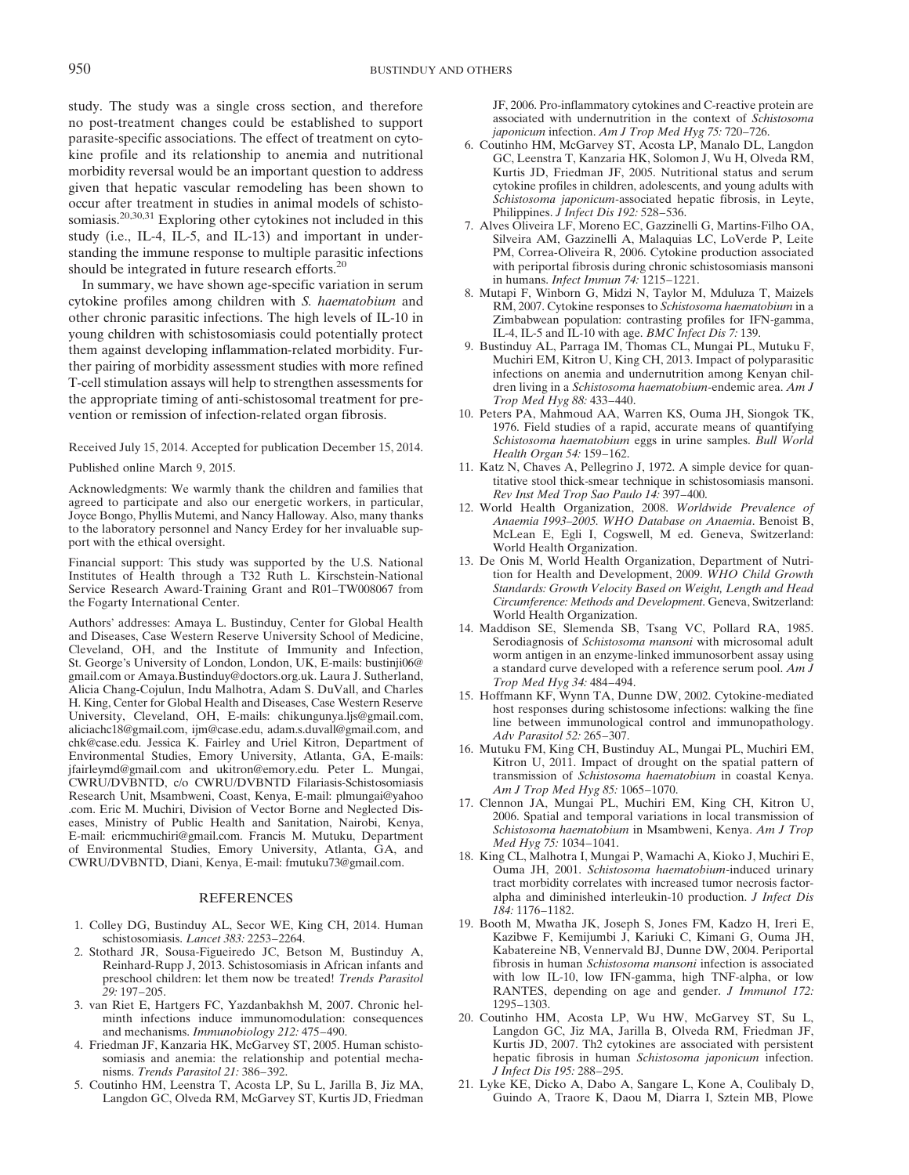study. The study was a single cross section, and therefore no post-treatment changes could be established to support parasite-specific associations. The effect of treatment on cytokine profile and its relationship to anemia and nutritional morbidity reversal would be an important question to address given that hepatic vascular remodeling has been shown to occur after treatment in studies in animal models of schistosomiasis.<sup>20,30,31</sup> Exploring other cytokines not included in this study (i.e., IL-4, IL-5, and IL-13) and important in understanding the immune response to multiple parasitic infections should be integrated in future research efforts.<sup>20</sup>

In summary, we have shown age-specific variation in serum cytokine profiles among children with S. haematobium and other chronic parasitic infections. The high levels of IL-10 in young children with schistosomiasis could potentially protect them against developing inflammation-related morbidity. Further pairing of morbidity assessment studies with more refined T-cell stimulation assays will help to strengthen assessments for the appropriate timing of anti-schistosomal treatment for prevention or remission of infection-related organ fibrosis.

Received July 15, 2014. Accepted for publication December 15, 2014. Published online March 9, 2015.

Acknowledgments: We warmly thank the children and families that agreed to participate and also our energetic workers, in particular, Joyce Bongo, Phyllis Mutemi, and Nancy Halloway. Also, many thanks to the laboratory personnel and Nancy Erdey for her invaluable support with the ethical oversight.

Financial support: This study was supported by the U.S. National Institutes of Health through a T32 Ruth L. Kirschstein-National Service Research Award-Training Grant and R01–TW008067 from the Fogarty International Center.

Authors' addresses: Amaya L. Bustinduy, Center for Global Health and Diseases, Case Western Reserve University School of Medicine, Cleveland, OH, and the Institute of Immunity and Infection, St. George's University of London, London, UK, E-mails: bustinji06@ gmail.com or Amaya.Bustinduy@doctors.org.uk. Laura J. Sutherland, Alicia Chang-Cojulun, Indu Malhotra, Adam S. DuVall, and Charles H. King, Center for Global Health and Diseases, Case Western Reserve University, Cleveland, OH, E-mails: chikungunya.ljs@gmail.com, aliciachc18@gmail.com, ijm@case.edu, adam.s.duvall@gmail.com, and chk@case.edu. Jessica K. Fairley and Uriel Kitron, Department of Environmental Studies, Emory University, Atlanta, GA, E-mails: jfairleymd@gmail.com and ukitron@emory.edu. Peter L. Mungai, CWRU/DVBNTD, c/o CWRU/DVBNTD Filariasis-Schistosomiasis Research Unit, Msambweni, Coast, Kenya, E-mail: plmungai@yahoo .com. Eric M. Muchiri, Division of Vector Borne and Neglected Diseases, Ministry of Public Health and Sanitation, Nairobi, Kenya, E-mail: ericmmuchiri@gmail.com. Francis M. Mutuku, Department of Environmental Studies, Emory University, Atlanta, GA, and CWRU/DVBNTD, Diani, Kenya, E-mail: fmutuku73@gmail.com.

# **REFERENCES**

- 1. Colley DG, Bustinduy AL, Secor WE, King CH, 2014. Human schistosomiasis. Lancet 383: 2253–2264.
- 2. Stothard JR, Sousa-Figueiredo JC, Betson M, Bustinduy A, Reinhard-Rupp J, 2013. Schistosomiasis in African infants and preschool children: let them now be treated! Trends Parasitol 29: 197–205.
- 3. van Riet E, Hartgers FC, Yazdanbakhsh M, 2007. Chronic helminth infections induce immunomodulation: consequences and mechanisms. Immunobiology 212: 475–490.
- 4. Friedman JF, Kanzaria HK, McGarvey ST, 2005. Human schistosomiasis and anemia: the relationship and potential mechanisms. Trends Parasitol 21: 386–392.
- 5. Coutinho HM, Leenstra T, Acosta LP, Su L, Jarilla B, Jiz MA, Langdon GC, Olveda RM, McGarvey ST, Kurtis JD, Friedman

JF, 2006. Pro-inflammatory cytokines and C-reactive protein are associated with undernutrition in the context of Schistosoma japonicum infection. Am J Trop Med Hyg 75: 720–726.

- 6. Coutinho HM, McGarvey ST, Acosta LP, Manalo DL, Langdon GC, Leenstra T, Kanzaria HK, Solomon J, Wu H, Olveda RM, Kurtis JD, Friedman JF, 2005. Nutritional status and serum cytokine profiles in children, adolescents, and young adults with Schistosoma japonicum-associated hepatic fibrosis, in Leyte, Philippines. J Infect Dis 192: 528–536.
- 7. Alves Oliveira LF, Moreno EC, Gazzinelli G, Martins-Filho OA, Silveira AM, Gazzinelli A, Malaquias LC, LoVerde P, Leite PM, Correa-Oliveira R, 2006. Cytokine production associated with periportal fibrosis during chronic schistosomiasis mansoni in humans. Infect Immun 74: 1215–1221.
- 8. Mutapi F, Winborn G, Midzi N, Taylor M, Mduluza T, Maizels RM, 2007. Cytokine responses to Schistosoma haematobium in a Zimbabwean population: contrasting profiles for IFN-gamma, IL-4, IL-5 and IL-10 with age. BMC Infect Dis 7: 139.
- 9. Bustinduy AL, Parraga IM, Thomas CL, Mungai PL, Mutuku F, Muchiri EM, Kitron U, King CH, 2013. Impact of polyparasitic infections on anemia and undernutrition among Kenyan children living in a Schistosoma haematobium-endemic area. Am J Trop Med Hyg 88: 433–440.
- 10. Peters PA, Mahmoud AA, Warren KS, Ouma JH, Siongok TK, 1976. Field studies of a rapid, accurate means of quantifying Schistosoma haematobium eggs in urine samples. Bull World Health Organ 54: 159–162.
- 11. Katz N, Chaves A, Pellegrino J, 1972. A simple device for quantitative stool thick-smear technique in schistosomiasis mansoni. Rev Inst Med Trop Sao Paulo 14: 397–400.
- 12. World Health Organization, 2008. Worldwide Prevalence of Anaemia 1993–2005. WHO Database on Anaemia. Benoist B, McLean E, Egli I, Cogswell, M ed. Geneva, Switzerland: World Health Organization.
- 13. De Onis M, World Health Organization, Department of Nutrition for Health and Development, 2009. WHO Child Growth Standards: Growth Velocity Based on Weight, Length and Head Circumference: Methods and Development. Geneva, Switzerland: World Health Organization.
- 14. Maddison SE, Slemenda SB, Tsang VC, Pollard RA, 1985. Serodiagnosis of Schistosoma mansoni with microsomal adult worm antigen in an enzyme-linked immunosorbent assay using a standard curve developed with a reference serum pool. Am J Trop Med Hyg 34: 484–494.
- 15. Hoffmann KF, Wynn TA, Dunne DW, 2002. Cytokine-mediated host responses during schistosome infections: walking the fine line between immunological control and immunopathology. Adv Parasitol 52: 265–307.
- 16. Mutuku FM, King CH, Bustinduy AL, Mungai PL, Muchiri EM, Kitron U, 2011. Impact of drought on the spatial pattern of transmission of Schistosoma haematobium in coastal Kenya. Am J Trop Med Hyg 85: 1065–1070.
- 17. Clennon JA, Mungai PL, Muchiri EM, King CH, Kitron U, 2006. Spatial and temporal variations in local transmission of Schistosoma haematobium in Msambweni, Kenya. Am J Trop Med Hyg 75: 1034–1041.
- 18. King CL, Malhotra I, Mungai P, Wamachi A, Kioko J, Muchiri E, Ouma JH, 2001. Schistosoma haematobium-induced urinary tract morbidity correlates with increased tumor necrosis factoralpha and diminished interleukin-10 production. J Infect Dis 184: 1176–1182.
- 19. Booth M, Mwatha JK, Joseph S, Jones FM, Kadzo H, Ireri E, Kazibwe F, Kemijumbi J, Kariuki C, Kimani G, Ouma JH, Kabatereine NB, Vennervald BJ, Dunne DW, 2004. Periportal fibrosis in human Schistosoma mansoni infection is associated with low IL-10, low IFN-gamma, high TNF-alpha, or low RANTES, depending on age and gender. *J Immunol 172*: 1295–1303.
- 20. Coutinho HM, Acosta LP, Wu HW, McGarvey ST, Su L, Langdon GC, Jiz MA, Jarilla B, Olveda RM, Friedman JF, Kurtis JD, 2007. Th2 cytokines are associated with persistent hepatic fibrosis in human Schistosoma japonicum infection. J Infect Dis 195: 288–295.
- 21. Lyke KE, Dicko A, Dabo A, Sangare L, Kone A, Coulibaly D, Guindo A, Traore K, Daou M, Diarra I, Sztein MB, Plowe